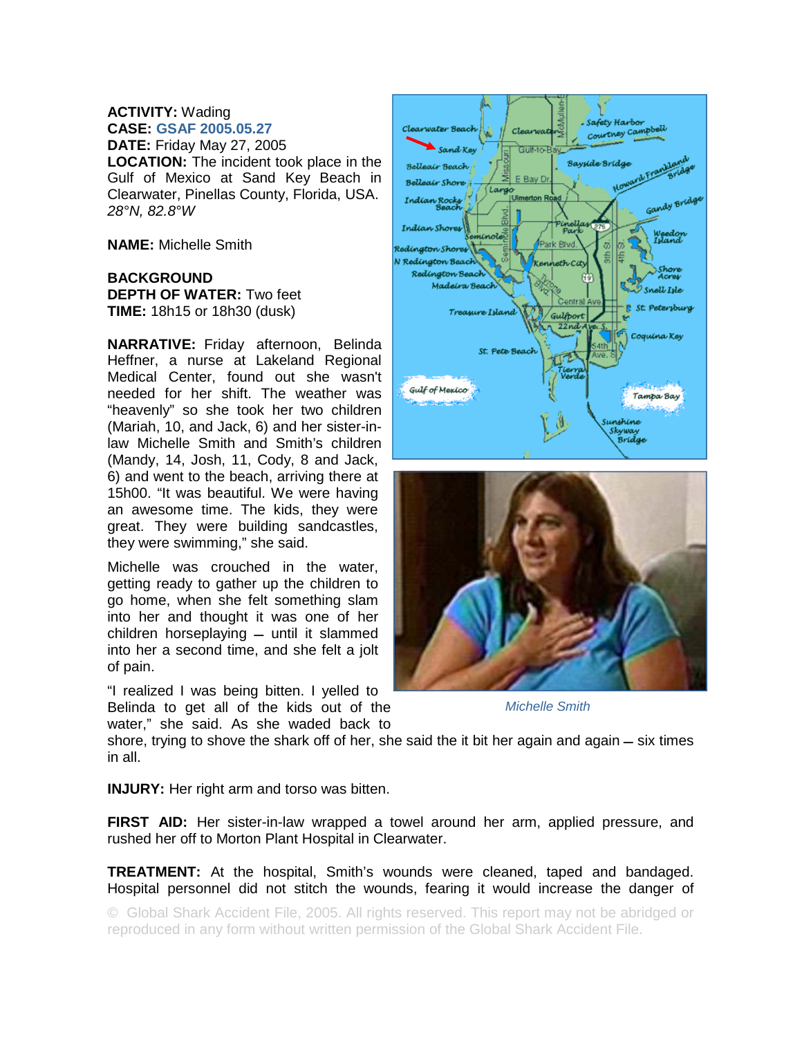## **ACTIVITY:** Wading **CASE: GSAF 2005.05.27**

**DATE:** Friday May 27, 2005 **LOCATION:** The incident took place in the Gulf of Mexico at Sand Key Beach in Clearwater, Pinellas County, Florida, USA. *28°N, 82.8°W* 

**NAME:** Michelle Smith

## **BACKGROUND DEPTH OF WATER:** Two feet **TIME:** 18h15 or 18h30 (dusk)

**NARRATIVE:** Friday afternoon, Belinda Heffner, a nurse at Lakeland Regional Medical Center, found out she wasn't needed for her shift. The weather was "heavenly" so she took her two children (Mariah, 10, and Jack, 6) and her sister-inlaw Michelle Smith and Smith's children (Mandy, 14, Josh, 11, Cody, 8 and Jack, 6) and went to the beach, arriving there at 15h00. "It was beautiful. We were having an awesome time. The kids, they were great. They were building sandcastles, they were swimming," she said.

Michelle was crouched in the water, getting ready to gather up the children to go home, when she felt something slam into her and thought it was one of her children horseplaying  $-$  until it slammed into her a second time, and she felt a jolt of pain.

"I realized I was being bitten. I yelled to Belinda to get all of the kids out of the water," she said. As she waded back to





*Michelle Smith* 

shore, trying to shove the shark off of her, she said the it bit her again and again  $-$  six times in all.

**INJURY:** Her right arm and torso was bitten.

**FIRST AID:** Her sister-in-law wrapped a towel around her arm, applied pressure, and rushed her off to Morton Plant Hospital in Clearwater.

**TREATMENT:** At the hospital, Smith's wounds were cleaned, taped and bandaged. Hospital personnel did not stitch the wounds, fearing it would increase the danger of

© Global Shark Accident File, 2005. All rights reserved. This report may not be abridged or reproduced in any form without written permission of the Global Shark Accident File.